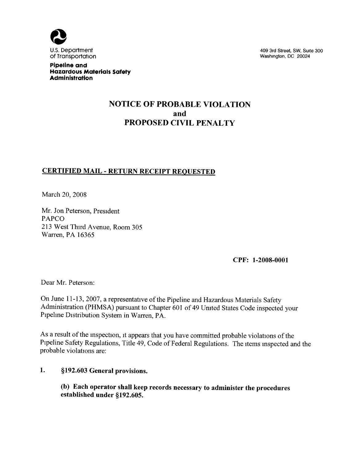

409 3rd Street, SW, Suite 300 Washington, DC 20024

Pipeline and Hazardous Materials Safety **Administration** 

## NOTICE OF PROBABLE VIOLATION and PROPOSED CIVIL PENALTY

## CERTIFIED MAIL - RETURN RECEIPT REQUESTED

March 20, 2008

Mr. Jon Peterson, President PAPCO 213 West Third Avenue, Room 305 Warren, PA 16365

CPF: 1-2008-0001

Dear Mr. Peterson:

On June 11-13, 2007, a representative of the Pipeline and Hazardous Materials Safety Administration (PHMSA) pursuant to Chapter 601 of 49 United States Code inspected your Pipehne Distribution System in Warren, PA.

As a result of the inspection, it appears that you have committed probable violations of the Pipeline Safety Regulations, Title 49, Code of Federal Regulations. The items inspected and the probable violations are:

#### l. \$192. 603 General provisions.

(b) Each operator shall keep records necessary to administer the procedures established under §192.605.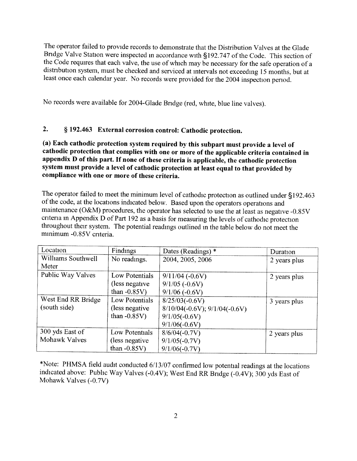The operator failed to provide records to demonstrate that the Distribution Valves at the Glade Bridge Valve Station were inspected m accordance with \$192. 747 of the Code. This section of the Code requires that each valve, the use of which may be necessary for the safe operation of a distribution system, must be checked and serviced at intervals not exceedmg 15 months, but at least once each calendar year. No records were provided for the 2004 inspection period.

No records were available for 2004-Glade Bridge (red, white, blue line valves).

## 2. § 192.463 External corrosion control: Cathodic protection.

(a) Each cathodic protection system required by this subpart must provide a level of cathodic protection that complies with one or more of the applicable criteria contained in appendix D of this part. If none of these criteria is applicable, the cathodic protection system must provide a level of cathodic protection at least equal to that provided by compliance with one or more of these criteria.

The operator failed to meet the minimum level of cathodic protection as outlined under \$192. 463 of the code, at the locations indicated below. Based upon the operators operations and maintenance (O&M) procedures, the operator has selected to use the at least as negative -0. 85V criteria m Appendix D of Part 192 as a basis for measuring the levels of cathodic protection throughout their system, The potential readings outlined m the table below do not meet the minimum -0.85V criteria.

| Location           | Findings        | Dates (Readings) $*$            | Duration     |
|--------------------|-----------------|---------------------------------|--------------|
| Williams Southwell | No readings.    | 2004, 2005, 2006                | 2 years plus |
| Meter              |                 |                                 |              |
| Public Way Valves  | Low Potentials  | $9/11/04$ (-0.6V)               | 2 years plus |
|                    | (less negative) | $9/1/05$ (-0.6V)                |              |
|                    | than $-0.85V$ ) | $9/1/06$ (-0.6V)                |              |
| West End RR Bridge | Low Potentials  | $8/25/03(-0.6V)$                | 3 years plus |
| (south side)       | (less negative) | $8/10/04(-0.6V); 9/1/04(-0.6V)$ |              |
|                    | than $-0.85V$ ) | $9/1/05(-0.6V)$                 |              |
|                    |                 | $9/1/06(-0.6V)$                 |              |
| 300 yds East of    | Low Potentials  | $8/6/04(-0.7V)$                 | 2 years plus |
| Mohawk Valves      | (less negative) | $9/1/05(-0.7V)$                 |              |
|                    | than $-0.85V$ ) | $9/1/06(-0.7V)$                 |              |

\*Note: PHMSA field audit conducted 6/13/07 confirmed low potential readings at the locations indicated above: Pubhc Way Valves (-0. 4V); West End RR Bridge (-0, 4V); 300 yds East of Mohawk Valves (-0.7V)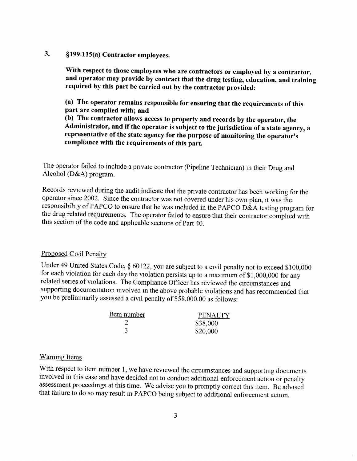#### 3. \$199. 115(a) Contractor employees.

With respect to those employees who are contractors or employed by a contractor, and operator may provide by contract that the drug testing, education, and training required by this part be carried out by the contractor provided:

(a) The operator remains responsible for ensuring that the requirements of this part are complied with; and

(b) The contractor allows access to property and records by the operator, the Administrator, and if the operator is subject to the jurisdiction of a state agency, a representative of the state agency for the purpose of monitoring the operator's compliance with the requirements of this part.

The operator failed to include a private contractor (Pipehne Technician) in their Drug and Alcohol ( $D&A$ ) program.

Records reviewed during the audit indicate that the private contractor has been working for the operator since 2002. Since the contractor was not covered under his own plan, it was the responsibility of PAPCO to ensure that he was included in the PAPCO D&A testing program for the drug related requirements. The operator failed to ensure that their contractor comphed with this section of the code and apphcable sections of Part 40.

#### Proposed Civil Penalty

Under 49 United States Code, § 60122, you are subject to a civil penalty not to exceed \$100,000 for each violation for each day the violation persists up to a maximum of \$1, 000, 000 for any related series of violations. The Comphance Officer has reviewed the circumstances and supporting documentation involved in the above probable violations and has recommended that you be preliminarily assessed a civil penalty of \$58, 000. 00 as follows:

| Item number | <b>PENALTY</b> |
|-------------|----------------|
|             | \$38,000       |
|             | \$20,000       |

#### Warning Items

With respect to item number 1, we have reviewed the circumstances and supporting documents involved in this case and have decided not to conduct additional enforcement action or penalty assessment proceedings at this time. We advise you to promptly correct this item. Be advised that failure to do so may result in PAPCO being subject to additional enforcement action.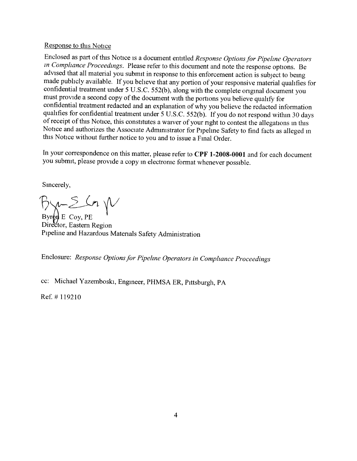#### Response to this Notice

Enclosed as part of this Notice is a document entitled Response Options for Pipeline Operators in Compliance Proceedings. Please refer to this document and note the response options. Be advised that all material you submit in response to this enforcement action is subject to being made pubhcly available. If you beheve that any portion of your responsive material quahfies for confidential treatment under 5 U.S.C. 552(b), along with the complete original document you must provide a second copy of the document with the portions you believe quahfy for confidential treatment redacted and an explanation of why you believe the redacted information qualifies for confidential treatment under 5 U.S.C. 552(b). If you do not respond within 30 days of receipt of this Notice, this constitutes a waiver of your right to contest the allegations m this Notice and authorizes the Associate Administrator for Pipelme Safety to find facts as alleged <sup>m</sup> this Notice without further notice to you and to issue a Final Order.

In your correspondence on this matter, please refer to CPF 1-2008-0001 and for each document you submit, please provide a copy in electronic format whenever possible.

Sincerely,

 $Bx-2$  in  $N$ 

 $Byr\phi\ddot{\mu}E$  Coy, PE Director, Eastern Region Pipeline and Hazardous Materials Safety Administration

Enclosure: Response Options for Pipeline Operators in Compliance Proceedings

cc: Michael Yazemboski, Engineer, PHMSA ER, Pittsburgh, PA

Ref. #119210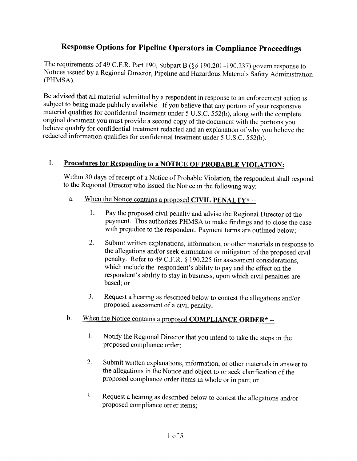# Response Options for Pipeline Operators in Compliance Proceedings

The requirements of 49 C.F.R. Part 190, Subpart B (§§ 190.201-190.237) govern response to Notices issued by a Regional Director, Pipehne and Hazardous Materials Safety Administration (PHMSA).

Be advised that all material submitted by a respondent in response to an enforcement action is subject to being made publicly available. If you believe that any portion of your responsive material qualifies for confidential treatment under 5 U.S.C. 552(b), along with the complete original document you must provide a second copy of the document with the portions you beheve quahfy for confidential treatment redacted and an explanation of why you believe the redacted information qualifies for confidential treatment under 5 U.S.C. 552(b).

## I. Procedures for Responding to a NOTICE OF PROBABLE VIOLATION:

Withm 30 days of receipt of a Notice of Probable Violation, the respondent shall respond to the Regional Director who issued the Notice m the followmg way;

- a. When the Notice contains a proposed CIVIL PENALTY\*  $-$ 
	- 1. Pay the proposed civil penalty and advise the Regional Director of the payment. This authorizes PHMSA to make findings and to close the case with prejudice to the respondent. Payment terms are outlined below;
	- 2. Submit written explanations, information, or other materials m response to the allegations and/or seek ehmination or mitigation of the proposed civil penalty. Refer to 49 C.F.R. § 190.225 for assessment considerations, which include the respondent's abihty to pay and the effect on the respondent's ability to stay in business, upon which civil penalties are based; or
	- 3. Request a hearing as described below to contest the allegations and/or proposed assessment of a civil penalty.
- b. When the Notice contains a proposed **COMPLIANCE ORDER**\*-
	- 1. Notify the Regional Director that you intend to take the steps in the proposed comphance order;
	- 2. Submit written explanations, information, or other materials in answer to the allegations in the Notice and object to or seek clarification of the proposed comphance order items in whole or in part; or
	- 3. Request a hearing as described below to contest the allegations and/or proposed compliance order items;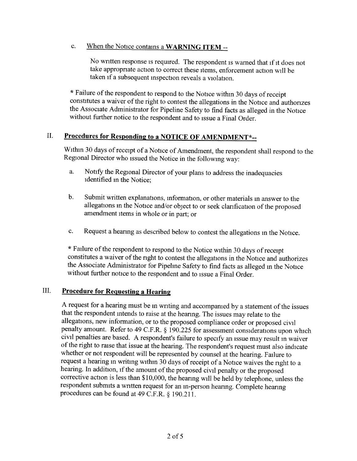#### c. When the Notice contains a WARNING ITEM --

No written response is required. The respondent is warned that if it does not take appropriate action to correct these items, enforcement action will be taken if a subsequent inspection reveals a violation.

\* Failure of the respondent to respond to the Notice within 30 days of receipt constitutes a waiver of the right to contest the allegations in the Notice and authorizes the Associate Administrator for Pipeline Safety to find facts as alleged in the Notice without further notice to the respondent and to issue a Final Order,

## II. Procedures for Responding to a NOTICE OF AMENDMENT\*--

Withm 30 days of receipt of a Notice of Amendment, the respondent shall respond to the Regional Director who issued the Notice in the followmg way:

- a. Notify the Regional Director of your plans to address the inadequacies identified in the Notice;
- b. Submit written explanations, information, or other materials in answer to the allegations in the Notice and/or object to or seek clarification of the proposed amendment items in whole or in part; or
- c. Request a hearing as described below to contest the allegations m the Notice.

\* Failure of the respondent to respond to the Notice within 30 days of receipt constitutes a waiver of the right to contest the allegations in the Notice and authorizes the Associate Administrator for Pipelme Safety to find facts as alleged in the Notice without further notice to the respondent and to issue a Final Order.

### III. Procedure for Requesting a Hearing

A request for a hearing must be in writing and accompanied by a statement of the issues that the respondent intends to raise at the hearing. The issues may relate to the allegations, new information, or to the proposed compliance order or proposed civil penalty amount. Refer to 49 C.F.R. § 190.225 for assessment considerations upon which civil penalties are based. A respondent's failure to specify an issue may result in waiver of the right to raise that issue at the hearing. The respondent's request must also indicate whether or not respondent will be represented by counsel at the hearing. Failure to request a hearing in writing within 30 days of receipt of a Notice waives the right to a hearing. In addition, if the amount of the proposed civil penalty or the proposed corrective action is less than \$10, 000, the hearing will be held by telephone, unless the respondent submits a written request for an in-person hearing. Complete hearing procedures can be found at 49 C.F.R. § 190.211.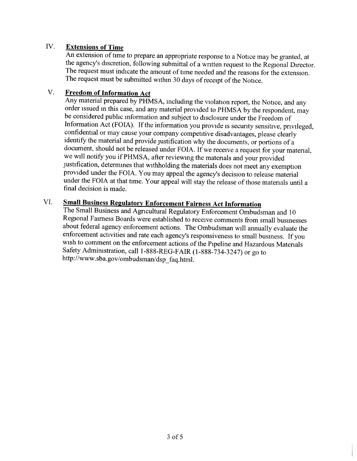## IV. Extensions of Time

An extension of time to prepare an appropriate response to a Notice may be granted, at the agency's discretion, following submittal of a written request to the Regional Director. The request must indicate the amount of time needed and the reasons for the extension. The request must be submitted withm 30 days of receipt of the Notice.

## V. Freedom of Information Act

Any material prepared by PHMSA, including the violation report, the Notice, and any order issued in this case, and any material provided to PHMSA by the respondent, may be considered pubhc information and subject to disclosure under the Freedom of Information Act (FOIA). If the information you provide is security sensitive, privileged, confidential or may cause your company competitive disadvantages, please clearly identify the material and provide justification why the documents, or portions of a document, should not be released under FOIA. If we receive a request for your material, we will notify you if PHMSA, after reviewing the materials and your provided justification, determines that withholding the materials does not meet any exemption provided under the FOIA. You may appeal the agency's decision to release material under the FOIA at that time. Your appeal will stay the release of those materials until a final decision is made.

# VI. Small Business Regulatory Enforcement Fairness Act Information

The Small Business and Agricultural Regulatory Enforcement Ombudsman and 10 Regional Fairness Boards were established to receive comments from small busmesses about federal agency enforcement actions. The Ombudsman will annually evaluate the enforcement activities and rate each agency's responsiveness to small business. If you wish to comment on the enforcement actions of the Pipeline and Hazardous Materials Safety Administration, call I-888-REG-FAIR (1-888-734-3247) or go to http://www.sba.gov/ombudsman/dsp faq.html.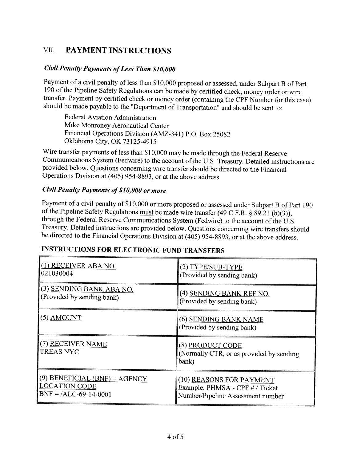# VII. PAYMENT INSTRUCTIONS

#### Civil Penalty Payments of Less Than \$10, 000

Payment of a civil penalty of less than \$10, 000 proposed or assessed, under Subpart B of Part 190 of the Pipeline Safety Regulations can be made by certified check, money order or wire transfer. Payment by certified check or money order (containing the CPF Number for this case) should be made payable to the "Department of Transportation" and should be sent to:

Federal Aviation Administration Mike Monroney Aeronautical Center Financial Operations Division (AMZ-341) P.O. Box 25082 Oklahoma City, OK 73125-4915

Wire transfer payments of less than \$10, 000 may be made through the Federal Reserve Communications System (Fedwire) to the account of the U. S Treasury. Detailed instructions are provided below. Questions concerning wire transfer should be directed to the Financial Operations Division at (405) 954-8893, or at the above address

#### Civil Penalty Payments of \$10, 000 or more

Payment of a civil penalty of \$10, 000 or more proposed or assessed under Subpart B of Part 190 of the Pipeline Safety Regulations must be made wire transfer (49 C F.R. § 89.21 (b)(3)), through the Federal Reserve Communications System (Fedwire) to the account of the U. S, Treasury. Detailed instructions are provided below. Questions conceriung wire transfers should be directed to the Financial Operations Division at (405) 954-8893, or at the above address.

# INSTRUCTIONS FOR ELECTRONIC FUND TRANSFERS

| (1) RECEIVER ABA NO.                  | (2) TYPE/SUB-TYPE                                                     |
|---------------------------------------|-----------------------------------------------------------------------|
| 021030004                             | (Provided by sending bank)                                            |
| (3) SENDING BANK ABA NO.              | (4) <u>SENDING BANK REF NO.</u>                                       |
| (Provided by sending bank)            | (Provided by sending bank)                                            |
| $(5)$ AMOUNT                          | (6) SENDING BANK NAME<br>(Provided by sending bank)                   |
| (7) RECEIVER NAME<br><b>TREAS NYC</b> | (8) PRODUCT CODE<br>(Normally CTR, or as provided by sending<br>bank) |
| $(9)$ BENEFICIAL (BNF) = AGENCY       | (10) REASONS FOR PAYMENT                                              |
| <b>LOCATION CODE</b>                  | Example: PHMSA - CPF # / Ticket                                       |
| $BNF = /ALC-69-14-0001$               | Number/Pipeline Assessment number                                     |